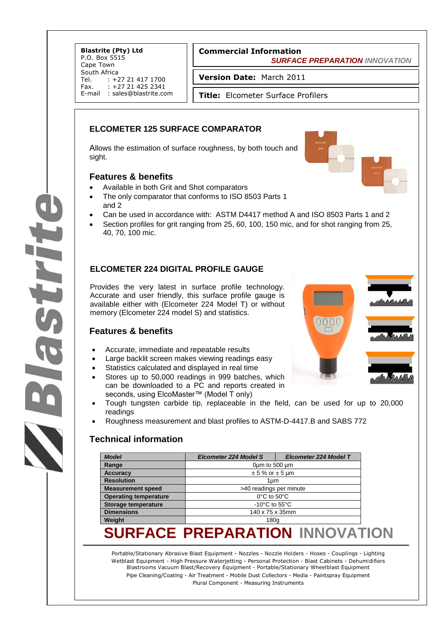**Blastrite (Pty) Ltd** P.O. Box 5515 Cape Town South Africa<br>Tel. : +2 Tel. : +27 21 417 1700<br>Fax. : +27 21 425 2341  $: +27214252341$ E-mail : sales@blastrite.com

### **Commercial Information**

 *SURFACE PREPARATION INNOVATION*

**Version Date:** March 2011

**Title:** Elcometer Surface Profilers

### **ELCOMETER 125 SURFACE COMPARATOR**

Allows the estimation of surface roughness, by both touch and sight.

### **Features & benefits**

- Available in both Grit and Shot comparators
- The only comparator that conforms to ISO 8503 Parts 1 and 2
- Can be used in accordance with: ASTM D4417 method A and ISO 8503 Parts 1 and 2
- Section profiles for grit ranging from 25, 60, 100, 150 mic, and for shot ranging from 25, 40, 70, 100 mic.

### **ELCOMETER 224 DIGITAL PROFILE GAUGE**

Provides the very latest in surface profile technology. Accurate and user friendly, this surface profile gauge is available either with (Elcometer 224 Model T) or without memory (Elcometer 224 model S) and statistics.

### **Features & benefits**

**Strit** 

- Accurate, immediate and repeatable results
- Large backlit screen makes viewing readings easy
- Statistics calculated and displayed in real time
- Stores up to 50,000 readings in 999 batches, which can be downloaded to a PC and reports created in seconds, using ElcoMaster™ (Model T only)
- Tough tungsten carbide tip, replaceable in the field, can be used for up to 20,000 readings
- Roughness measurement and blast profiles to ASTM-D-4417.B and SABS 772

### **Technical information**

| <b>Model</b>                 | <b>Elcometer 224 Model S</b>        | <b>Elcometer 224 Model T</b> |  |
|------------------------------|-------------------------------------|------------------------------|--|
| Range                        | $0 \mu m$ to 500 $\mu m$            |                              |  |
| <b>Accuracy</b>              | $± 5%$ or $± 5$ µm                  |                              |  |
| <b>Resolution</b>            | 1um                                 |                              |  |
| <b>Measurement speed</b>     | >40 readings per minute             |                              |  |
| <b>Operating temperature</b> | $0^{\circ}$ C to 50 $^{\circ}$ C    |                              |  |
| <b>Storage temperature</b>   | -10 $^{\circ}$ C to 55 $^{\circ}$ C |                              |  |
| <b>Dimensions</b>            | 140 x 75 x 35mm                     |                              |  |
| Weight                       | 180q                                |                              |  |

# **SURFACE PREPARATION INNOVATION**

Portable/Stationary Abrasive Blast Equipment - Nozzles - Nozzle Holders - Hoses - Couplings - Lighting Wetblast Equipment - High Pressure Waterjetting - Personal Protection - Blast Cabinets - Dehumidifiers Blastrooms Vacuum Blast/Recovery Equipment - Portable/Stationary Wheelblast Equipment Pipe Cleaning/Coating - Air Treatment - Mobile Dust Collectors - Media - Paintspray Equipment Plural Component - Measuring Instruments